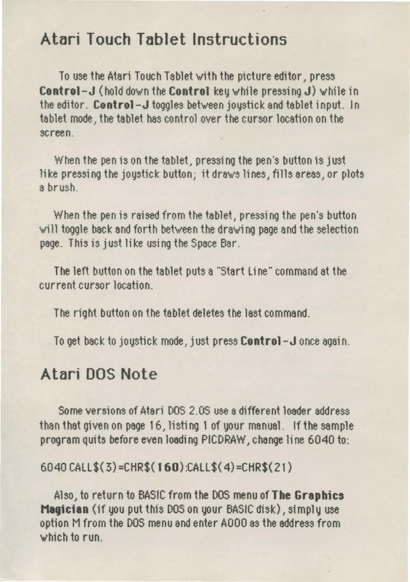# Atari Touch Tablet Instructions

To use the Atari Touch Tablet W'ith the picture editor, press **Control-J** (hold down the **Control** key while pressing  $J$ ) while in the editor. Control-J toggles between joystick and tablet input. In tablet mode, the tablet has control over the cursor location on the screen.

When the pen is on the tablet, pressing the pen's button is just like pressing the joystick button; it draws lines, fills areas, or plots a brush.

When the pen is raised from the tablet, pressing the pen's button will toggle back and forth between the drawing page and the selection page. This is just like using the Space Bar.

The left button on the tablet puts a "Start Line" command at the current cursor location.

The right button on the tablet deletes the last command.

To get back to joystick mode, just press Control-J once again.

### Atari DOS Note

Some versions of Atari DOS 2.0S use a different loader address than that given on page 16, listing 1 of your manual. If the sample program quits before even loading PICDRAW, change line 6040 to:

#### 6040 CALL\$( 3) =CHR\$( 160):CALL\$( 4) =CHR\$(21)

Also, to return to BASIC from the DOS menu of The Graphics Magician (if you put this DOS on your BASIC disk), simply use option M from the DOS menu and enter AOOO as the address from 'w'hich to run.